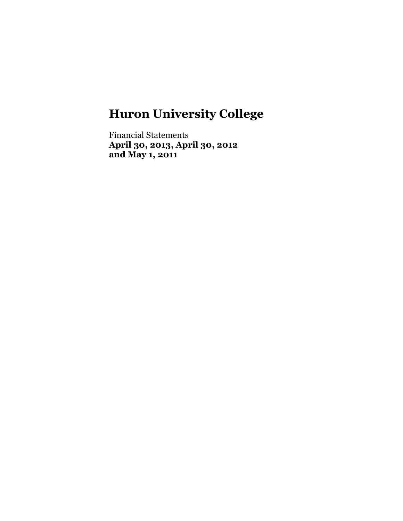Financial Statements **April 30, 2013, April 30, 2012 and May 1, 2011**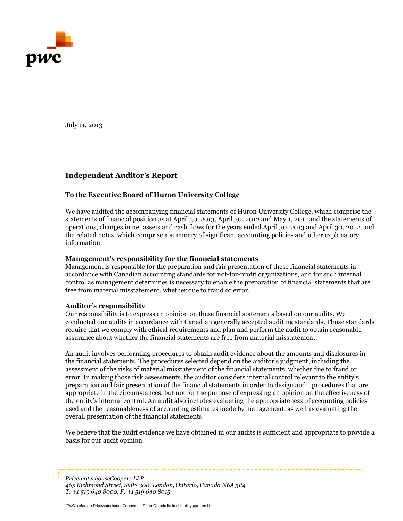

July 11, 2013

#### **Independent Auditor's Report**

#### **To the Executive Board of Huron University College**

We have audited the accompanying financial statements of Huron University College, which comprise the statements of financial position as at April 30, 2013, April 30, 2012 and May 1, 2011 and the statements of operations, changes in net assets and cash flows for the years ended April 30, 2013 and April 30, 2012, and the related notes, which comprise a summary of significant accounting policies and other explanatory information.

#### **Management's responsibility for the financial statements**

Management is responsible for the preparation and fair presentation of these financial statements in accordance with Canadian accounting standards for not-for-profit organizations, and for such internal control as management determines is necessary to enable the preparation of financial statements that are<br>free from material misstatement, whether due to fraud or error. free from material misstatement, whether due to fraud or error.

#### **Auditor's responsibility**

Our responsibility is to express an opinion on these financial statements based on our audits. We conducted our audits in accordance with Canadian generally accepted auditing standards. Those standards require that we comply with ethical requirements and plan and perform the audit to obtain reasonable assurance about whether the financial statements are free from material misstatement. profit organizations, and for such internal<br>e preparation of financial statements that are<br>or.<br>statements based on our audits. We<br>accepted auditing standards. Those standar<br>nd perform the audit to obtain reasonable<br>om mate

An audit involves performing procedures to obtain audit evidence about the amounts and disclosures in the financial statements. The procedures selected depend on the auditor's judgment, including the assessment of the risks of material misstatement of the financial statements, whether due to fraud or error. In making those risk assessments, the auditor considers internal control relevant to the entity's preparation and fair presentation of the financial statements in order to design audit procedures that are appropriate in the circumstances, but not for the purpose of expressing an opinion on the effectiveness of the entity's internal control. An audit also includes evaluating the appropriateness of accounting policies used and the reasonableness of accounting estimates made by management, as well as evaluating the overall presentation of the fina To the Executive Board of Huron University College<br>
We have audited the accompanying financial statements of Iltron University College, which comprisions<br>
We have audited the accompanying financial statements of Iltron Un exponsibility is to express an opinion on these financial statements based on our audits. We<br>cted our audits in accordance with Canadian generally accepted auditing standards. Those stand<br>e that we comply with ethical requ presentation of the financial statements in order to design audit prooppriate in the circumstances, but not for the purpose of expressing an opinion on the ntity's internal control. An audit also includes evaluating the ap

We believe that the audit evidence we have obtained in our audits is sufficient and appropriate to provide a basis for our audit opinion.

"PwC" refers to PricewaterhouseCoopers LLP, an Ontario limited liability partnership. *465 Richmond Street, Suite 300, London, Ontario, Canada N6A 5P4* to PricewaterhouseCoopers LLP, an *Richmond Suite Canada N6A 519 640 PricewaterhouseCoopers LLP T: +1 519 640 8000, F: +1 519 640 8015*

"PwC" refers to PricewaterhouseCoopers LLP, an Ontario limited liability partnership.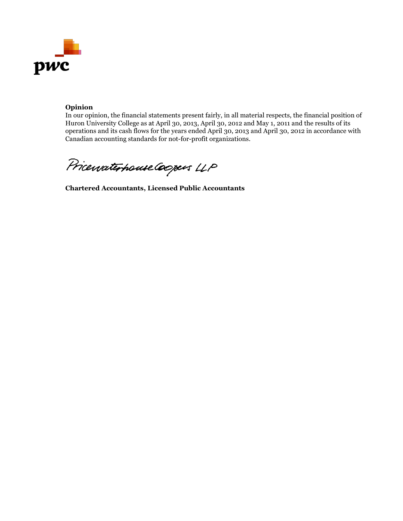

#### **Opinion**

In our opinion, the financial statements present fairly, in all material respects, the financial position of In our opinion, the financial statements present fairly, in all material respects, the financial positioı<br>Huron University College as at April 30, 2013, April 30, 2012 and May 1, 2011 and the results of its operations and its cash flows for the years ended April 30, 2013 and April 30, 2012 in accordance with Canadian accounting standards for not-for-profit organizations. **Solution** II statements present fairly, in all material respects, the financial position of s at April 30, 2013, April 30, 2012 and May 1, 2011 and the results of its ws for the years ended April 30, 2013 and April 30, 20

**Chartered Accountants, Licensed Public Accountants**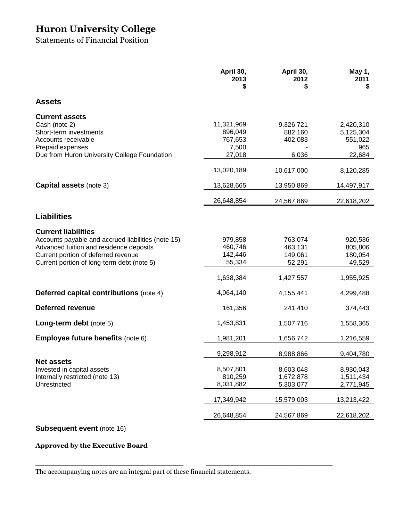Statements of Financial Position

|                                                                                                                                                                                                                  | April 30,<br>2013<br>\$                              | April 30,<br>2012<br>\$                              | May 1,<br>2011<br>S                                  |
|------------------------------------------------------------------------------------------------------------------------------------------------------------------------------------------------------------------|------------------------------------------------------|------------------------------------------------------|------------------------------------------------------|
| <b>Assets</b>                                                                                                                                                                                                    |                                                      |                                                      |                                                      |
| <b>Current assets</b><br>Cash (note 2)<br>Short-term investments<br>Accounts receivable<br>Prepaid expenses<br>Due from Huron University College Foundation                                                      | 11,321,969<br>896,049<br>767,653<br>7,500<br>27,018  | 9,326,721<br>882,160<br>402,083<br>6,036             | 2,420,310<br>5,125,304<br>551,022<br>965<br>22,684   |
|                                                                                                                                                                                                                  | 13,020,189                                           | 10,617,000                                           | 8,120,285                                            |
| <b>Capital assets (note 3)</b>                                                                                                                                                                                   | 13,628,665                                           | 13,950,869                                           | 14,497,917                                           |
|                                                                                                                                                                                                                  | 26,648,854                                           | 24,567,869                                           | 22,618,202                                           |
| <b>Liabilities</b>                                                                                                                                                                                               |                                                      |                                                      |                                                      |
| <b>Current liabilities</b><br>Accounts payable and accrued liabilities (note 15)<br>Advanced tuition and residence deposits<br>Current portion of deferred revenue<br>Current portion of long-term debt (note 5) | 979,858<br>460,746<br>142,446<br>55,334<br>1,638,384 | 763,074<br>463,131<br>149,061<br>52,291<br>1,427,557 | 920,536<br>805,806<br>180,054<br>49,529<br>1,955,925 |
| <b>Deferred capital contributions (note 4)</b>                                                                                                                                                                   | 4,064,140                                            | 4,155,441                                            | 4,299,488                                            |
| <b>Deferred revenue</b>                                                                                                                                                                                          | 161,356                                              | 241,410                                              | 374,443                                              |
| Long-term debt (note 5)                                                                                                                                                                                          | 1,453,831                                            | 1,507,716                                            | 1,558,365                                            |
| <b>Employee future benefits (note 6)</b>                                                                                                                                                                         | 1,981,201                                            | 1,656,742                                            | 1,216,559                                            |
|                                                                                                                                                                                                                  | 9,298,912                                            | 8,988,866                                            | 9,404,780                                            |
| <b>Net assets</b><br>Invested in capital assets<br>Internally restricted (note 13)<br>Unrestricted                                                                                                               | 8,507,801<br>810,259<br>8,031,882                    | 8,603,048<br>1,672,878<br>5,303,077                  | 8,930,043<br>1,511,434<br>2,771,945                  |
|                                                                                                                                                                                                                  | 17,349,942                                           | 15,579,003                                           | 13,213,422                                           |
|                                                                                                                                                                                                                  | 26,648,854                                           | 24,567,869                                           | 22,618,202                                           |
| <b>Subsequent event (note 16)</b>                                                                                                                                                                                |                                                      |                                                      |                                                      |

#### **Approved by the Executive Board**

The accompanying notes are an integral part of these financial statements.

 $\_$  , and the state of the state of the state of the state of the state of the state of the state of the state of the state of the state of the state of the state of the state of the state of the state of the state of the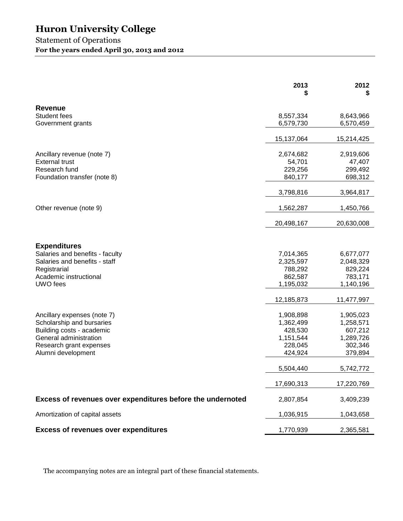### Statement of Operations **For the years ended April 30, 2013 and 2012**

|                                                                                         | 2013<br>æ.                      | 2012<br>\$                      |
|-----------------------------------------------------------------------------------------|---------------------------------|---------------------------------|
| <b>Revenue</b>                                                                          |                                 |                                 |
| Student fees<br>Government grants                                                       | 8,557,334<br>6,579,730          | 8,643,966<br>6,570,459          |
|                                                                                         | 15,137,064                      | 15,214,425                      |
| Ancillary revenue (note 7)<br><b>External trust</b>                                     | 2,674,682<br>54,701             | 2,919,606<br>47,407             |
| Research fund<br>Foundation transfer (note 8)                                           | 229,256<br>840,177              | 299,492<br>698,312              |
|                                                                                         | 3,798,816                       | 3,964,817                       |
| Other revenue (note 9)                                                                  | 1,562,287                       | 1,450,766                       |
|                                                                                         | 20,498,167                      | 20,630,008                      |
|                                                                                         |                                 |                                 |
| <b>Expenditures</b><br>Salaries and benefits - faculty<br>Salaries and benefits - staff | 7,014,365<br>2,325,597          | 6,677,077<br>2,048,329          |
| Registrarial<br>Academic instructional                                                  | 788,292<br>862,587              | 829,224<br>783,171              |
| UWO fees                                                                                | 1,195,032                       | 1,140,196                       |
|                                                                                         | 12,185,873                      | 11,477,997                      |
| Ancillary expenses (note 7)<br>Scholarship and bursaries                                | 1,908,898<br>1,362,499          | 1,905,023<br>1,258,571          |
| Building costs - academic<br>General administration<br>Research grant expenses          | 428,530<br>1,151,544<br>228,045 | 607,212<br>1,289,726<br>302,346 |
| Alumni development                                                                      | 424,924                         | 379,894                         |
|                                                                                         | 5,504,440                       | 5,742,772                       |
|                                                                                         | 17,690,313                      | 17,220,769                      |
| Excess of revenues over expenditures before the undernoted                              | 2,807,854                       | 3,409,239                       |
| Amortization of capital assets                                                          | 1,036,915                       | 1,043,658                       |
| <b>Excess of revenues over expenditures</b>                                             | 1,770,939                       | 2,365,581                       |

The accompanying notes are an integral part of these financial statements.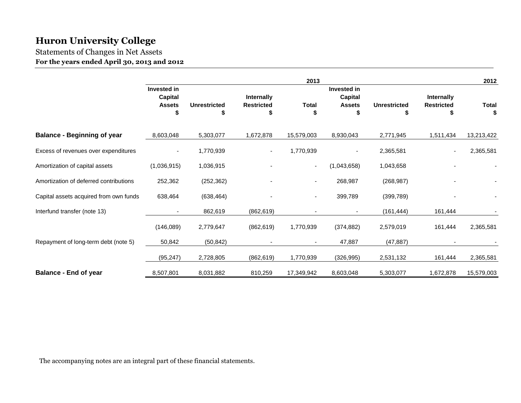Statements of Changes in Net Assets **For the years ended April 30, 2013 and 2012**

|                                        |                                                      |                           |                                        | 2013           |                                                      |                           |                                 | 2012              |
|----------------------------------------|------------------------------------------------------|---------------------------|----------------------------------------|----------------|------------------------------------------------------|---------------------------|---------------------------------|-------------------|
|                                        | <b>Invested in</b><br>Capital<br><b>Assets</b><br>\$ | <b>Unrestricted</b><br>\$ | <b>Internally</b><br><b>Restricted</b> | Total<br>S     | Invested in<br><b>Capital</b><br><b>Assets</b><br>\$ | <b>Unrestricted</b><br>\$ | Internally<br><b>Restricted</b> | <b>Total</b><br>S |
| <b>Balance - Beginning of year</b>     | 8,603,048                                            | 5,303,077                 | 1,672,878                              | 15,579,003     | 8,930,043                                            | 2,771,945                 | 1,511,434                       | 13,213,422        |
| Excess of revenues over expenditures   |                                                      | 1,770,939                 | $\blacksquare$                         | 1,770,939      |                                                      | 2,365,581                 |                                 | 2,365,581         |
| Amortization of capital assets         | (1,036,915)                                          | 1,036,915                 |                                        | $\sim$         | (1,043,658)                                          | 1,043,658                 |                                 |                   |
| Amortization of deferred contributions | 252,362                                              | (252, 362)                |                                        | $\blacksquare$ | 268,987                                              | (268, 987)                |                                 |                   |
| Capital assets acquired from own funds | 638,464                                              | (638, 464)                |                                        | $\sim$         | 399,789                                              | (399, 789)                |                                 |                   |
| Interfund transfer (note 13)           |                                                      | 862,619                   | (862, 619)                             |                | $\blacksquare$                                       | (161, 444)                | 161,444                         |                   |
|                                        | (146,089)                                            | 2,779,647                 | (862, 619)                             | 1,770,939      | (374, 882)                                           | 2,579,019                 | 161,444                         | 2,365,581         |
| Repayment of long-term debt (note 5)   | 50,842                                               | (50, 842)                 |                                        | $\blacksquare$ | 47,887                                               | (47, 887)                 |                                 |                   |
|                                        | (95, 247)                                            | 2,728,805                 | (862, 619)                             | 1,770,939      | (326, 995)                                           | 2,531,132                 | 161,444                         | 2,365,581         |
| <b>Balance - End of year</b>           | 8,507,801                                            | 8,031,882                 | 810,259                                | 17,349,942     | 8,603,048                                            | 5,303,077                 | 1,672,878                       | 15,579,003        |

The accompanying notes are an integral part of these financial statements.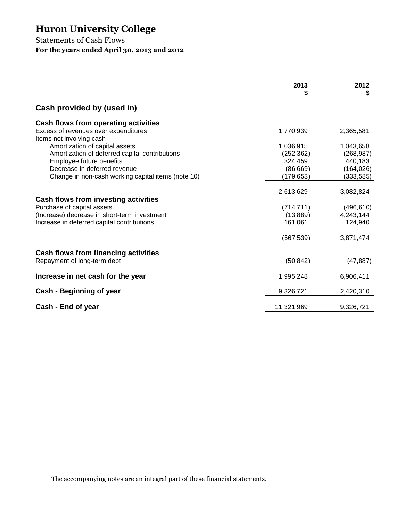Statements of Cash Flows **For the years ended April 30, 2013 and 2012**

|                                                                            | 2013<br>\$             | 2012<br>\$              |
|----------------------------------------------------------------------------|------------------------|-------------------------|
| Cash provided by (used in)                                                 |                        |                         |
| Cash flows from operating activities                                       |                        |                         |
| Excess of revenues over expenditures<br>Items not involving cash           | 1,770,939              | 2,365,581               |
| Amortization of capital assets                                             | 1,036,915              | 1,043,658               |
| Amortization of deferred capital contributions                             | (252, 362)             | (268, 987)              |
| Employee future benefits                                                   | 324,459                | 440,183                 |
| Decrease in deferred revenue                                               | (86, 669)              | (164, 026)              |
| Change in non-cash working capital items (note 10)                         | (179, 653)             | (333, 585)              |
|                                                                            | 2,613,629              | 3,082,824               |
| Cash flows from investing activities                                       |                        |                         |
| Purchase of capital assets<br>(Increase) decrease in short-term investment | (714, 711)<br>(13,889) | (496, 610)<br>4,243,144 |
| Increase in deferred capital contributions                                 | 161,061                | 124,940                 |
|                                                                            |                        |                         |
|                                                                            | (567, 539)             | 3,871,474               |
| Cash flows from financing activities                                       |                        |                         |
| Repayment of long-term debt                                                | (50, 842)              | (47, 887)               |
| Increase in net cash for the year                                          | 1,995,248              | 6,906,411               |
| Cash - Beginning of year                                                   | 9,326,721              | 2,420,310               |
| Cash - End of year                                                         | 11,321,969             | 9,326,721               |

The accompanying notes are an integral part of these financial statements.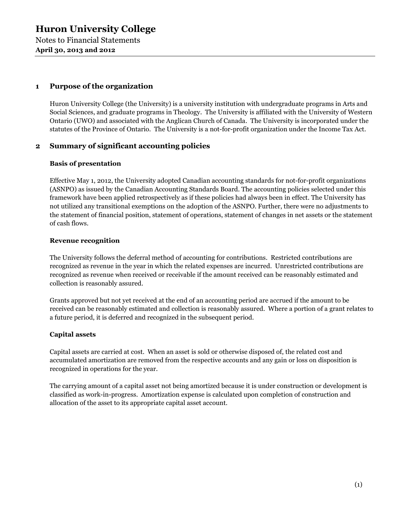#### **1 Purpose of the organization**

Huron University College (the University) is a university institution with undergraduate programs in Arts and Social Sciences, and graduate programs in Theology. The University is affiliated with the University of Western Ontario (UWO) and associated with the Anglican Church of Canada. The University is incorporated under the statutes of the Province of Ontario. The University is a not-for-profit organization under the Income Tax Act.

#### **2 Summary of significant accounting policies**

#### **Basis of presentation**

Effective May 1, 2012, the University adopted Canadian accounting standards for not-for-profit organizations (ASNPO) as issued by the Canadian Accounting Standards Board. The accounting policies selected under this framework have been applied retrospectively as if these policies had always been in effect. The University has not utilized any transitional exemptions on the adoption of the ASNPO. Further, there were no adjustments to the statement of financial position, statement of operations, statement of changes in net assets or the statement of cash flows.

#### **Revenue recognition**

The University follows the deferral method of accounting for contributions. Restricted contributions are recognized as revenue in the year in which the related expenses are incurred. Unrestricted contributions are recognized as revenue when received or receivable if the amount received can be reasonably estimated and collection is reasonably assured.

Grants approved but not yet received at the end of an accounting period are accrued if the amount to be received can be reasonably estimated and collection is reasonably assured. Where a portion of a grant relates to a future period, it is deferred and recognized in the subsequent period.

#### **Capital assets**

Capital assets are carried at cost. When an asset is sold or otherwise disposed of, the related cost and accumulated amortization are removed from the respective accounts and any gain or loss on disposition is recognized in operations for the year.

The carrying amount of a capital asset not being amortized because it is under construction or development is classified as work-in-progress. Amortization expense is calculated upon completion of construction and allocation of the asset to its appropriate capital asset account.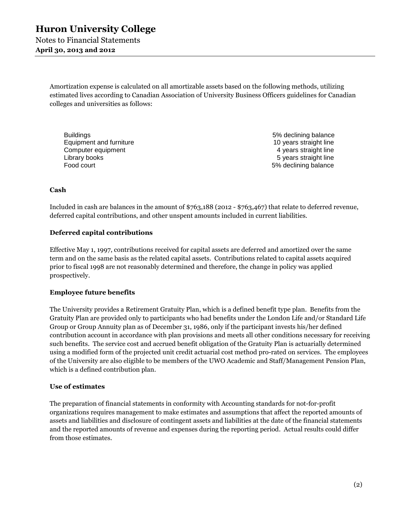**April 30, 2013 and 2012**

Amortization expense is calculated on all amortizable assets based on the following methods, utilizing estimated lives according to Canadian Association of University Business Officers guidelines for Canadian colleges and universities as follows:

Buildings **5% declining balance** Equipment and furniture 10 years straight line Computer equipment **4** years straight line Library books **5** years straight line Food court **Food court Food court Food court 5% declining balance** 

#### **Cash**

Included in cash are balances in the amount of \$763,188 (2012 - \$763,467) that relate to deferred revenue, deferred capital contributions, and other unspent amounts included in current liabilities.

#### **Deferred capital contributions**

Effective May 1, 1997, contributions received for capital assets are deferred and amortized over the same term and on the same basis as the related capital assets. Contributions related to capital assets acquired prior to fiscal 1998 are not reasonably determined and therefore, the change in policy was applied prospectively.

#### **Employee future benefits**

The University provides a Retirement Gratuity Plan, which is a defined benefit type plan. Benefits from the Gratuity Plan are provided only to participants who had benefits under the London Life and/or Standard Life Group or Group Annuity plan as of December 31, 1986, only if the participant invests his/her defined contribution account in accordance with plan provisions and meets all other conditions necessary for receiving such benefits. The service cost and accrued benefit obligation of the Gratuity Plan is actuarially determined using a modified form of the projected unit credit actuarial cost method pro-rated on services. The employees of the University are also eligible to be members of the UWO Academic and Staff/Management Pension Plan, which is a defined contribution plan.

#### **Use of estimates**

The preparation of financial statements in conformity with Accounting standards for not-for-profit organizations requires management to make estimates and assumptions that affect the reported amounts of assets and liabilities and disclosure of contingent assets and liabilities at the date of the financial statements and the reported amounts of revenue and expenses during the reporting period. Actual results could differ from those estimates.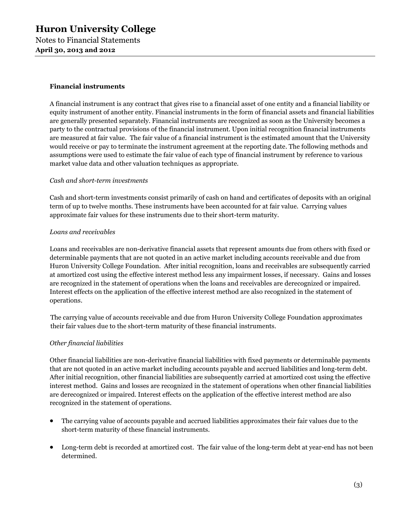#### **Financial instruments**

A financial instrument is any contract that gives rise to a financial asset of one entity and a financial liability or equity instrument of another entity. Financial instruments in the form of financial assets and financial liabilities are generally presented separately. Financial instruments are recognized as soon as the University becomes a party to the contractual provisions of the financial instrument. Upon initial recognition financial instruments are measured at fair value. The fair value of a financial instrument is the estimated amount that the University would receive or pay to terminate the instrument agreement at the reporting date. The following methods and assumptions were used to estimate the fair value of each type of financial instrument by reference to various market value data and other valuation techniques as appropriate.

#### *Cash and short-term investments*

Cash and short-term investments consist primarily of cash on hand and certificates of deposits with an original term of up to twelve months. These instruments have been accounted for at fair value. Carrying values approximate fair values for these instruments due to their short-term maturity.

#### *Loans and receivables*

Loans and receivables are non-derivative financial assets that represent amounts due from others with fixed or determinable payments that are not quoted in an active market including accounts receivable and due from Huron University College Foundation. After initial recognition, loans and receivables are subsequently carried at amortized cost using the effective interest method less any impairment losses, if necessary. Gains and losses are recognized in the statement of operations when the loans and receivables are derecognized or impaired. Interest effects on the application of the effective interest method are also recognized in the statement of operations.

The carrying value of accounts receivable and due from Huron University College Foundation approximates their fair values due to the short-term maturity of these financial instruments.

#### *Other financial liabilities*

Other financial liabilities are non-derivative financial liabilities with fixed payments or determinable payments that are not quoted in an active market including accounts payable and accrued liabilities and long-term debt. After initial recognition, other financial liabilities are subsequently carried at amortized cost using the effective interest method. Gains and losses are recognized in the statement of operations when other financial liabilities are derecognized or impaired. Interest effects on the application of the effective interest method are also recognized in the statement of operations.

- The carrying value of accounts payable and accrued liabilities approximates their fair values due to the short-term maturity of these financial instruments.
- Long-term debt is recorded at amortized cost. The fair value of the long-term debt at year-end has not been determined.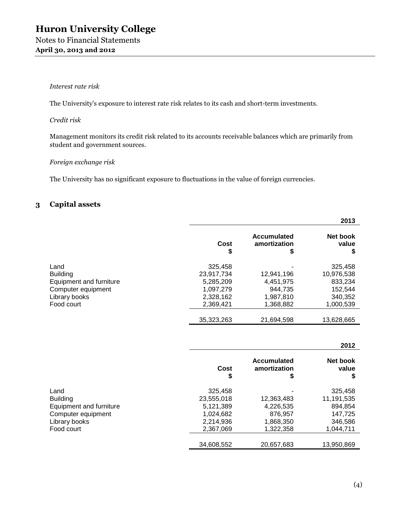#### *Interest rate risk*

The University's exposure to interest rate risk relates to its cash and short-term investments.

#### *Credit risk*

Management monitors its credit risk related to its accounts receivable balances which are primarily from student and government sources.

#### *Foreign exchange risk*

The University has no significant exposure to fluctuations in the value of foreign currencies*.*

#### **3 Capital assets**

|                         |            |                                   | 2013                   |
|-------------------------|------------|-----------------------------------|------------------------|
|                         | Cost<br>\$ | Accumulated<br>amortization<br>\$ | Net book<br>value<br>S |
| Land                    | 325,458    |                                   | 325,458                |
| <b>Building</b>         | 23.917.734 | 12,941,196                        | 10.976.538             |
| Equipment and furniture | 5,285,209  | 4,451,975                         | 833,234                |
| Computer equipment      | 1,097,279  | 944.735                           | 152,544                |
| Library books           | 2,328,162  | 1,987,810                         | 340,352                |
| Food court              | 2,369,421  | 1,368,882                         | 1,000,539              |
|                         | 35,323,263 | 21,694,598                        | 13,628,665             |

#### **2012**

|                         | Cost<br>\$ | <b>Accumulated</b><br>amortization<br>\$ | Net book<br>value<br>\$ |
|-------------------------|------------|------------------------------------------|-------------------------|
| Land                    | 325,458    |                                          | 325,458                 |
| <b>Building</b>         | 23,555,018 | 12,363,483                               | 11,191,535              |
| Equipment and furniture | 5,121,389  | 4,226,535                                | 894,854                 |
| Computer equipment      | 1,024,682  | 876,957                                  | 147,725                 |
| Library books           | 2,214,936  | 1,868,350                                | 346,586                 |
| Food court              | 2,367,069  | 1,322,358                                | 1,044,711               |
|                         |            |                                          |                         |
|                         | 34,608,552 | 20,657,683                               | 13,950,869              |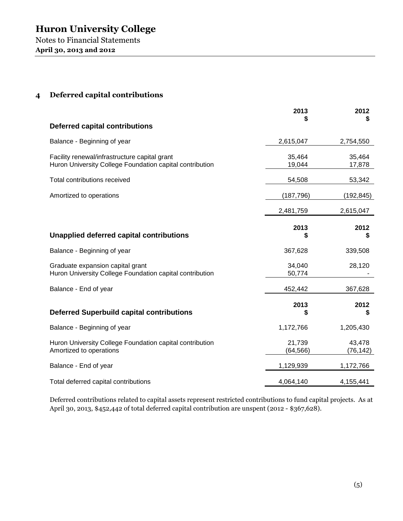Notes to Financial Statements **April 30, 2013 and 2012**

#### **4 Deferred capital contributions**

|                                                                                                           | 2013                | 2012                |
|-----------------------------------------------------------------------------------------------------------|---------------------|---------------------|
| <b>Deferred capital contributions</b>                                                                     | S                   | S                   |
| Balance - Beginning of year                                                                               | 2,615,047           | 2,754,550           |
| Facility renewal/infrastructure capital grant<br>Huron University College Foundation capital contribution | 35,464<br>19,044    | 35,464<br>17,878    |
| Total contributions received                                                                              | 54,508              | 53,342              |
| Amortized to operations                                                                                   | (187, 796)          | (192, 845)          |
|                                                                                                           | 2,481,759           | 2,615,047           |
| <b>Unapplied deferred capital contributions</b>                                                           | 2013<br>S           | 2012<br>\$          |
| Balance - Beginning of year                                                                               | 367,628             | 339,508             |
| Graduate expansion capital grant<br>Huron University College Foundation capital contribution              | 34,040<br>50,774    | 28,120              |
| Balance - End of year                                                                                     | 452,442             | 367,628             |
| <b>Deferred Superbuild capital contributions</b>                                                          | 2013<br>S           | 2012<br>S           |
| Balance - Beginning of year                                                                               | 1,172,766           | 1,205,430           |
| Huron University College Foundation capital contribution<br>Amortized to operations                       | 21,739<br>(64, 566) | 43,478<br>(76, 142) |
| Balance - End of year                                                                                     | 1,129,939           | 1,172,766           |
| Total deferred capital contributions                                                                      | 4,064,140           | 4,155,441           |

Deferred contributions related to capital assets represent restricted contributions to fund capital projects. As at April 30, 2013, \$452,442 of total deferred capital contribution are unspent (2012 - \$367,628).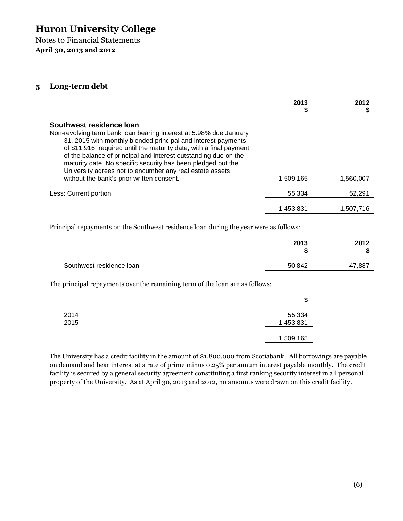Notes to Financial Statements **April 30, 2013 and 2012**

#### **5 Long-term debt**

|                                                                                                                                                                                                                                                                                                                                                                                                                                                                                   | 2013      | 2012      |
|-----------------------------------------------------------------------------------------------------------------------------------------------------------------------------------------------------------------------------------------------------------------------------------------------------------------------------------------------------------------------------------------------------------------------------------------------------------------------------------|-----------|-----------|
| Southwest residence loan<br>Non-revolving term bank loan bearing interest at 5.98% due January<br>31, 2015 with monthly blended principal and interest payments<br>of \$11,916 required until the maturity date, with a final payment<br>of the balance of principal and interest outstanding due on the<br>maturity date. No specific security has been pledged but the<br>University agrees not to encumber any real estate assets<br>without the bank's prior written consent. | 1,509,165 | 1.560.007 |
| Less: Current portion                                                                                                                                                                                                                                                                                                                                                                                                                                                             | 55.334    | 52,291    |
|                                                                                                                                                                                                                                                                                                                                                                                                                                                                                   | 1,453,831 | 1,507,716 |

Principal repayments on the Southwest residence loan during the year were as follows:

|                          | 2013<br>¢<br>w | 2012<br>æ |
|--------------------------|----------------|-----------|
| Southwest residence loan | 50,842         | 47,887    |

The principal repayments over the remaining term of the loan are as follows:

|      | \$        |
|------|-----------|
| 2014 | 55,334    |
| 2015 | 1,453,831 |
|      | 1,509,165 |

The University has a credit facility in the amount of \$1,800,000 from Scotiabank. All borrowings are payable on demand and bear interest at a rate of prime minus 0.25% per annum interest payable monthly. The credit facility is secured by a general security agreement constituting a first ranking security interest in all personal property of the University. As at April 30, 2013 and 2012, no amounts were drawn on this credit facility.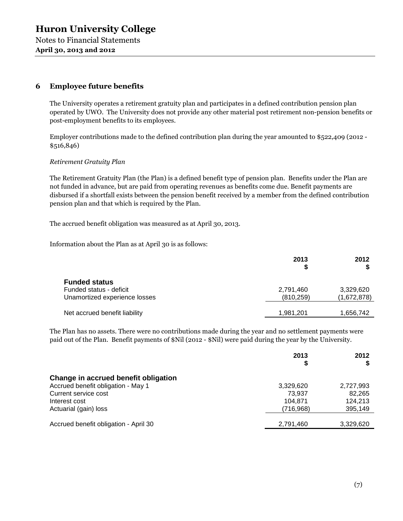#### **6 Employee future benefits**

The University operates a retirement gratuity plan and participates in a defined contribution pension plan operated by UWO. The University does not provide any other material post retirement non-pension benefits or post-employment benefits to its employees.

Employer contributions made to the defined contribution plan during the year amounted to \$522,409 (2012 - \$516,846)

*Retirement Gratuity Plan*

The Retirement Gratuity Plan (the Plan) is a defined benefit type of pension plan. Benefits under the Plan are not funded in advance, but are paid from operating revenues as benefits come due. Benefit payments are disbursed if a shortfall exists between the pension benefit received by a member from the defined contribution pension plan and that which is required by the Plan.

The accrued benefit obligation was measured as at April 30, 2013.

Information about the Plan as at April 30 is as follows:

|                                                                                  | 2013<br>\$              | 2012                     |
|----------------------------------------------------------------------------------|-------------------------|--------------------------|
| <b>Funded status</b><br>Funded status - deficit<br>Unamortized experience losses | 2,791,460<br>(810, 259) | 3,329,620<br>(1,672,878) |
| Net accrued benefit liability                                                    | 1,981,201               | 1,656,742                |

The Plan has no assets. There were no contributions made during the year and no settlement payments were paid out of the Plan. Benefit payments of \$Nil (2012 - \$Nil) were paid during the year by the University.

|                                       | 2013      | 2012      |
|---------------------------------------|-----------|-----------|
| Change in accrued benefit obligation  |           |           |
| Accrued benefit obligation - May 1    | 3,329,620 | 2,727,993 |
| Current service cost                  | 73.937    | 82,265    |
| Interest cost                         | 104.871   | 124,213   |
| Actuarial (gain) loss                 | (716,968) | 395,149   |
|                                       |           |           |
| Accrued benefit obligation - April 30 | 2,791,460 | 3,329,620 |
|                                       |           |           |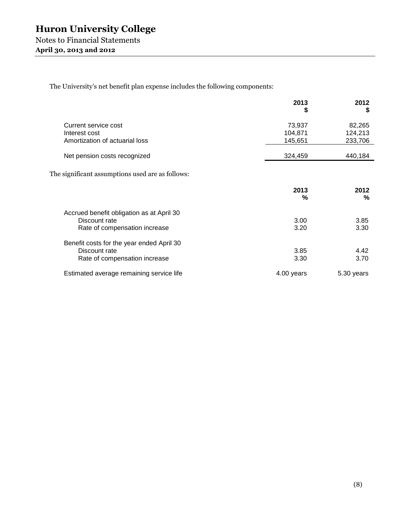The University's net benefit plan expense includes the following components:

| 2013<br>S | 2012<br>S  |
|-----------|------------|
| 73,937    | 82,265     |
| 104,871   | 124,213    |
| 145,651   | 233,706    |
| 324,459   | 440,184    |
|           |            |
| 2013<br>% | 2012<br>%  |
|           |            |
| 3.00      | 3.85       |
| 3.20      | 3.30       |
|           |            |
| 3.85      | 4.42       |
| 3.30      | 3.70       |
|           | 5.30 years |
|           | 4.00 years |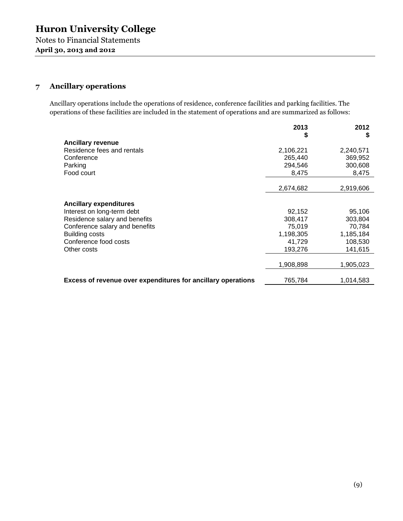#### **7 Ancillary operations**

Ancillary operations include the operations of residence, conference facilities and parking facilities. The operations of these facilities are included in the statement of operations and are summarized as follows:

|                                                                                               | 2013                                     | 2012                                     |
|-----------------------------------------------------------------------------------------------|------------------------------------------|------------------------------------------|
|                                                                                               | \$                                       | S                                        |
| <b>Ancillary revenue</b><br>Residence fees and rentals<br>Conference<br>Parking<br>Food court | 2,106,221<br>265,440<br>294,546<br>8,475 | 2,240,571<br>369,952<br>300,608<br>8,475 |
|                                                                                               | 2,674,682                                | 2,919,606                                |
| <b>Ancillary expenditures</b><br>Interest on long-term debt                                   | 92,152                                   | 95,106                                   |
| Residence salary and benefits                                                                 | 308,417                                  | 303,804                                  |
| Conference salary and benefits                                                                | 75,019                                   | 70,784                                   |
| <b>Building costs</b>                                                                         | 1,198,305                                | 1,185,184                                |
| Conference food costs                                                                         | 41,729                                   | 108,530                                  |
| Other costs                                                                                   | 193,276                                  | 141,615                                  |
|                                                                                               | 1,908,898                                | 1,905,023                                |
| Excess of revenue over expenditures for ancillary operations                                  | 765,784                                  | 1,014,583                                |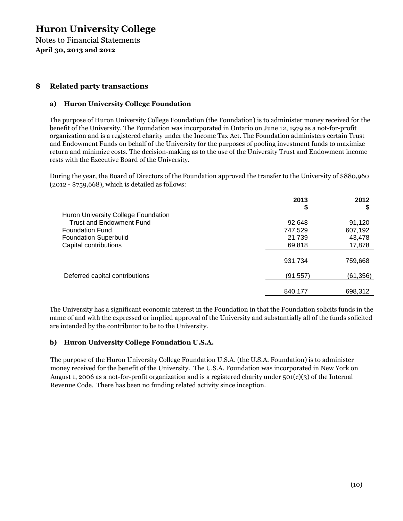**April 30, 2013 and 2012**

#### **8 Related party transactions**

#### **a) Huron University College Foundation**

The purpose of Huron University College Foundation (the Foundation) is to administer money received for the benefit of the University. The Foundation was incorporated in Ontario on June 12, 1979 as a not-for-profit organization and is a registered charity under the Income Tax Act. The Foundation administers certain Trust and Endowment Funds on behalf of the University for the purposes of pooling investment funds to maximize return and minimize costs. The decision-making as to the use of the University Trust and Endowment income rests with the Executive Board of the University.

During the year, the Board of Directors of the Foundation approved the transfer to the University of \$880,960 (2012 - \$759,668), which is detailed as follows:

|                                     | 2013<br>\$ | 2012<br>S |
|-------------------------------------|------------|-----------|
| Huron University College Foundation |            |           |
| <b>Trust and Endowment Fund</b>     | 92,648     | 91,120    |
| <b>Foundation Fund</b>              | 747,529    | 607,192   |
| <b>Foundation Superbuild</b>        | 21,739     | 43,478    |
| Capital contributions               | 69,818     | 17,878    |
|                                     | 931,734    | 759,668   |
| Deferred capital contributions      | (91, 557)  | (61,356)  |
|                                     | 840,177    | 698,312   |

The University has a significant economic interest in the Foundation in that the Foundation solicits funds in the name of and with the expressed or implied approval of the University and substantially all of the funds solicited are intended by the contributor to be to the University.

#### **b) Huron University College Foundation U.S.A.**

The purpose of the Huron University College Foundation U.S.A. (the U.S.A. Foundation) is to administer money received for the benefit of the University. The U.S.A. Foundation was incorporated in New York on August 1, 2006 as a not-for-profit organization and is a registered charity under 501(c)(3) of the Internal Revenue Code. There has been no funding related activity since inception.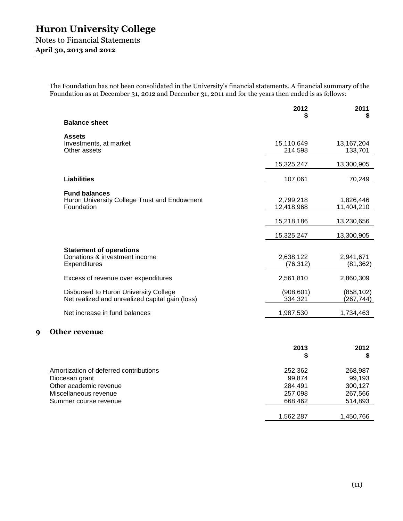The Foundation has not been consolidated in the University's financial statements. A financial summary of the Foundation as at December 31, 2012 and December 31, 2011 and for the years then ended is as follows:

|                                                                                                                                      | 2012                                               | 2011<br>S                                          |
|--------------------------------------------------------------------------------------------------------------------------------------|----------------------------------------------------|----------------------------------------------------|
| <b>Balance sheet</b>                                                                                                                 |                                                    |                                                    |
| <b>Assets</b><br>Investments, at market<br>Other assets                                                                              | 15,110,649<br>214,598                              | 13, 167, 204<br>133,701                            |
|                                                                                                                                      | 15,325,247                                         | 13,300,905                                         |
| <b>Liabilities</b>                                                                                                                   | 107,061                                            | 70,249                                             |
| <b>Fund balances</b><br>Huron University College Trust and Endowment<br>Foundation                                                   | 2,799,218<br>12,418,968                            | 1,826,446<br>11,404,210                            |
|                                                                                                                                      | 15,218,186                                         | 13,230,656                                         |
|                                                                                                                                      | 15,325,247                                         | 13,300,905                                         |
| <b>Statement of operations</b><br>Donations & investment income<br>Expenditures                                                      | 2,638,122<br>(76, 312)                             | 2,941,671<br>(81, 362)                             |
| Excess of revenue over expenditures                                                                                                  | 2,561,810                                          | 2,860,309                                          |
| Disbursed to Huron University College<br>Net realized and unrealized capital gain (loss)                                             | (908, 601)<br>334,321                              | (858, 102)<br>(267,744)                            |
| Net increase in fund balances                                                                                                        | 1,987,530                                          | 1,734,463                                          |
| <b>Other revenue</b><br>9                                                                                                            |                                                    |                                                    |
|                                                                                                                                      | 2013<br>\$                                         | 2012<br>\$                                         |
| Amortization of deferred contributions<br>Diocesan grant<br>Other academic revenue<br>Miscellaneous revenue<br>Summer course revenue | 252,362<br>99,874<br>284,491<br>257,098<br>668,462 | 268,987<br>99,193<br>300,127<br>267,566<br>514,893 |

(11)

1,562,287 1,450,766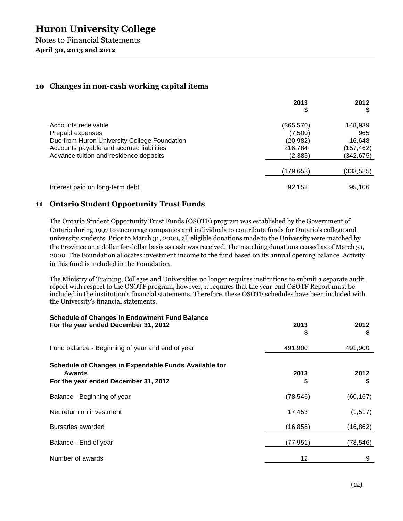#### **10 Changes in non-cash working capital items**

|                                                                                                                                                                               | 2013<br>æ                                               | 2012                                                |
|-------------------------------------------------------------------------------------------------------------------------------------------------------------------------------|---------------------------------------------------------|-----------------------------------------------------|
| Accounts receivable<br>Prepaid expenses<br>Due from Huron University College Foundation<br>Accounts payable and accrued liabilities<br>Advance tuition and residence deposits | (365,570)<br>(7,500)<br>(20, 982)<br>216,784<br>(2,385) | 148,939<br>965<br>16,648<br>(157, 462)<br>(342,675) |
|                                                                                                                                                                               | (179,653)                                               | (333,585)                                           |
| Interest paid on long-term debt                                                                                                                                               | 92,152                                                  | 95,106                                              |

#### **11 Ontario Student Opportunity Trust Funds**

The Ontario Student Opportunity Trust Funds (OSOTF) program was established by the Government of Ontario during 1997 to encourage companies and individuals to contribute funds for Ontario's college and university students. Prior to March 31, 2000, all eligible donations made to the University were matched by the Province on a dollar for dollar basis as cash was received. The matching donations ceased as of March 31, 2000. The Foundation allocates investment income to the fund based on its annual opening balance. Activity in this fund is included in the Foundation.

The Ministry of Training, Colleges and Universities no longer requires institutions to submit a separate audit report with respect to the OSOTF program, however, it requires that the year-end OSOTF Report must be included in the institution's financial statements, Therefore, these OSOTF schedules have been included with the University's financial statements.

| <b>Schedule of Changes in Endowment Fund Balance</b><br>For the year ended December 31, 2012            | 2013<br>S  | 2012<br>S  |
|---------------------------------------------------------------------------------------------------------|------------|------------|
| Fund balance - Beginning of year and end of year                                                        | 491,900    | 491,900    |
| Schedule of Changes in Expendable Funds Available for<br>Awards<br>For the year ended December 31, 2012 | 2013<br>\$ | 2012<br>\$ |
| Balance - Beginning of year                                                                             | (78, 546)  | (60, 167)  |
| Net return on investment                                                                                | 17,453     | (1,517)    |
| Bursaries awarded                                                                                       | (16, 858)  | (16, 862)  |
| Balance - End of year                                                                                   | (77, 951)  | (78, 546)  |
| Number of awards                                                                                        | 12         | 9          |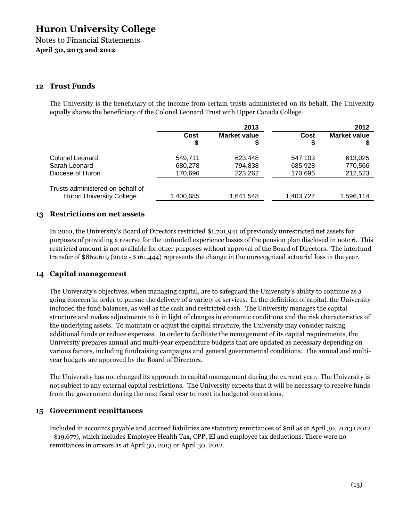# **12 Trust Funds**

The University is the beneficiary of the income from certain trusts administered on its behalf. The University equally shares the beneficiary of the Colonel Leonard Trust with Upper Canada College.

|                                                                     | 2013               |                          |                    | 2012                |
|---------------------------------------------------------------------|--------------------|--------------------------|--------------------|---------------------|
|                                                                     | Cost<br>S          | <b>Market value</b><br>S | Cost<br>S          | <b>Market value</b> |
| Colonel Leonard<br>Sarah Leonard                                    | 549,711<br>680,278 | 623,448<br>794,838       | 547,103<br>685,928 | 613,025<br>770,566  |
| Diocese of Huron                                                    | 170,696            | 223,262                  | 170,696            | 212,523             |
| Trusts administered on behalf of<br><b>Huron University College</b> | 1,400,685          | 1,641,548                | 1,403,727          | 1,596,114           |

#### **13 Restrictions on net assets**

In 2010, the University's Board of Directors restricted \$1,701,941 of previously unrestricted net assets for purposes of providing a reserve for the unfunded experience losses of the pension plan disclosed in note 6. This restricted amount is not available for other purposes without approval of the Board of Directors. The interfund transfer of \$862,619 (2012 - \$161,444) represents the change in the unrecognized actuarial loss in the year.

#### **14 Capital management**

The University's objectives, when managing capital, are to safeguard the University's ability to continue as a going concern in order to pursue the delivery of a variety of services. In the definition of capital, the University included the fund balances, as well as the cash and restricted cash. The University manages the capital structure and makes adjustments to it in light of changes in economic conditions and the risk characteristics of the underlying assets. To maintain or adjust the capital structure, the University may consider raising additional funds or reduce expenses. In order to facilitate the management of its capital requirements, the University prepares annual and multi-year expenditure budgets that are updated as necessary depending on various factors, including fundraising campaigns and general governmental conditions. The annual and multiyear budgets are approved by the Board of Directors.

The University has not changed its approach to capital management during the current year. The University is not subject to any external capital restrictions. The University expects that it will be necessary to receive funds from the government during the next fiscal year to meet its budgeted operations.

#### **15 Government remittances**

Included in accounts payable and accrued liabilities are statutory remittances of \$nil as at April 30, 2013 (2012 - \$19,677), which includes Employee Health Tax, CPP, EI and employee tax deductions. There were no remittances in arrears as at April 30, 2013 or April 30, 2012.